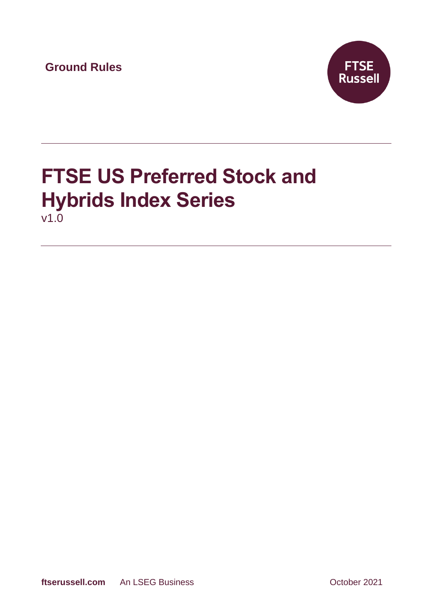**Ground Rules**



# **FTSE US Preferred Stock and Hybrids Index Series** v1.0

**ftserussell.com** An LSEG Business **Contact An LSEG Business** October 2021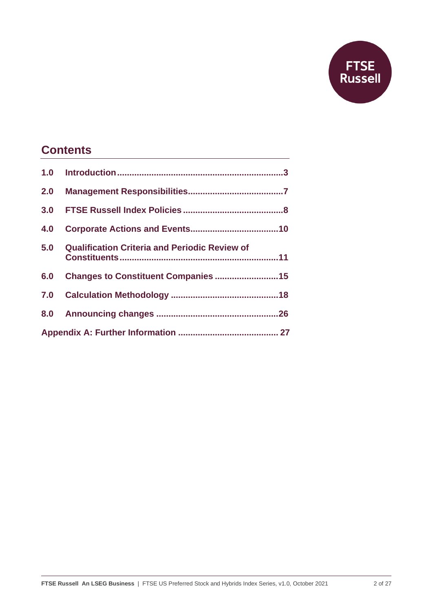

# **Contents**

| 2.0 |                                                      |  |
|-----|------------------------------------------------------|--|
| 3.0 |                                                      |  |
| 4.0 |                                                      |  |
| 5.0 | <b>Qualification Criteria and Periodic Review of</b> |  |
| 6.0 | Changes to Constituent Companies 15                  |  |
| 7.0 |                                                      |  |
|     |                                                      |  |
|     |                                                      |  |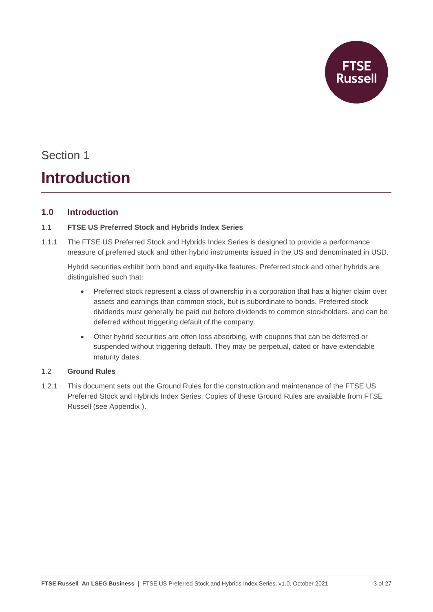**FTSE<br>Russell** 

# Section 1

# **Introduction**

## **1.0 Introduction**

### 1.1 **FTSE US Preferred Stock and Hybrids Index Series**

1.1.1 The FTSE US Preferred Stock and Hybrids Index Series is designed to provide a performance measure of preferred stock and other hybrid instruments issued in the US and denominated in USD.

Hybrid securities exhibit both bond and equity-like features. Preferred stock and other hybrids are distinguished such that:

- Preferred stock represent a class of ownership in a corporation that has a higher claim over assets and earnings than common stock, but is subordinate to bonds. Preferred stock dividends must generally be paid out before dividends to common stockholders, and can be deferred without triggering default of the company.
- Other hybrid securities are often loss absorbing, with coupons that can be deferred or suspended without triggering default. They may be perpetual, dated or have extendable maturity dates.

### 1.2 **Ground Rules**

1.2.1 This document sets out the Ground Rules for the construction and maintenance of the FTSE US Preferred Stock and Hybrids Index Series. Copies of these Ground Rules are available from FTSE Russell (see [Appendix \)](#page-26-0).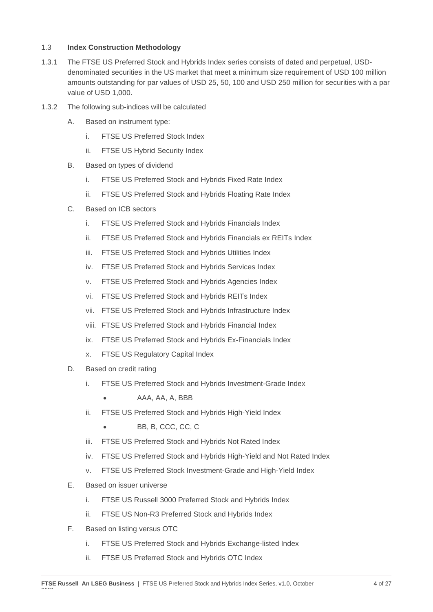#### 1.3 **Index Construction Methodology**

- 1.3.1 The FTSE US Preferred Stock and Hybrids Index series consists of dated and perpetual, USDdenominated securities in the US market that meet a minimum size requirement of USD 100 million amounts outstanding for par values of USD 25, 50, 100 and USD 250 million for securities with a par value of USD 1,000.
- 1.3.2 The following sub-indices will be calculated
	- A. Based on instrument type:
		- i. FTSE US Preferred Stock Index
		- ii. FTSE US Hybrid Security Index
	- B. Based on types of dividend
		- i. FTSE US Preferred Stock and Hybrids Fixed Rate Index
		- ii. FTSE US Preferred Stock and Hybrids Floating Rate Index
	- C. Based on ICB sectors
		- i. FTSE US Preferred Stock and Hybrids Financials Index
		- ii. FTSE US Preferred Stock and Hybrids Financials ex REITs Index
		- iii. FTSE US Preferred Stock and Hybrids Utilities Index
		- iv. FTSE US Preferred Stock and Hybrids Services Index
		- v. FTSE US Preferred Stock and Hybrids Agencies Index
		- vi. FTSE US Preferred Stock and Hybrids REITs Index
		- vii. FTSE US Preferred Stock and Hybrids Infrastructure Index
		- viii. FTSE US Preferred Stock and Hybrids Financial Index
		- ix. FTSE US Preferred Stock and Hybrids Ex-Financials Index
		- x. FTSE US Regulatory Capital Index
	- D. Based on credit rating
		- i. FTSE US Preferred Stock and Hybrids Investment-Grade Index
			- AAA, AA, A, BBB
		- ii. FTSE US Preferred Stock and Hybrids High-Yield Index
			- BB, B, CCC, CC, C
		- iii. FTSE US Preferred Stock and Hybrids Not Rated Index
		- iv. FTSE US Preferred Stock and Hybrids High-Yield and Not Rated Index
		- v. FTSE US Preferred Stock Investment-Grade and High-Yield Index
	- E. Based on issuer universe
		- i. FTSE US Russell 3000 Preferred Stock and Hybrids Index
		- ii. FTSE US Non-R3 Preferred Stock and Hybrids Index
	- F. Based on listing versus OTC

2021

- i. FTSE US Preferred Stock and Hybrids Exchange-listed Index
- ii. FTSE US Preferred Stock and Hybrids OTC Index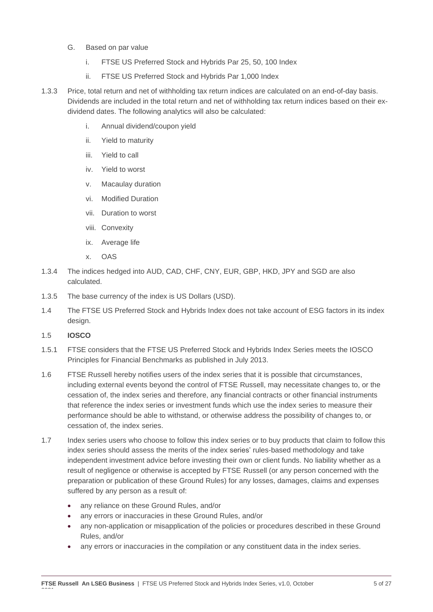- G. Based on par value
	- i. FTSE US Preferred Stock and Hybrids Par 25, 50, 100 Index
	- ii. FTSE US Preferred Stock and Hybrids Par 1,000 Index
- 1.3.3 Price, total return and net of withholding tax return indices are calculated on an end-of-day basis. Dividends are included in the total return and net of withholding tax return indices based on their exdividend dates. The following analytics will also be calculated:
	- i. Annual dividend/coupon yield
	- ii. Yield to maturity
	- iii. Yield to call
	- iv. Yield to worst
	- v. Macaulay duration
	- vi. Modified Duration
	- vii. Duration to worst
	- viii. Convexity
	- ix. Average life
	- x. OAS
- 1.3.4 The indices hedged into AUD, CAD, CHF, CNY, EUR, GBP, HKD, JPY and SGD are also calculated.
- 1.3.5 The base currency of the index is US Dollars (USD).
- 1.4 The FTSE US Preferred Stock and Hybrids Index does not take account of ESG factors in its index design.
- 1.5 **IOSCO**

2021

- 1.5.1 FTSE considers that the FTSE US Preferred Stock and Hybrids Index Series meets the IOSCO Principles for Financial Benchmarks as published in July 2013.
- 1.6 FTSE Russell hereby notifies users of the index series that it is possible that circumstances, including external events beyond the control of FTSE Russell, may necessitate changes to, or the cessation of, the index series and therefore, any financial contracts or other financial instruments that reference the index series or investment funds which use the index series to measure their performance should be able to withstand, or otherwise address the possibility of changes to, or cessation of, the index series.
- 1.7 Index series users who choose to follow this index series or to buy products that claim to follow this index series should assess the merits of the index series' rules-based methodology and take independent investment advice before investing their own or client funds. No liability whether as a result of negligence or otherwise is accepted by FTSE Russell (or any person concerned with the preparation or publication of these Ground Rules) for any losses, damages, claims and expenses suffered by any person as a result of:
	- any reliance on these Ground Rules, and/or
	- any errors or inaccuracies in these Ground Rules, and/or
	- any non-application or misapplication of the policies or procedures described in these Ground Rules, and/or
	- any errors or inaccuracies in the compilation or any constituent data in the index series.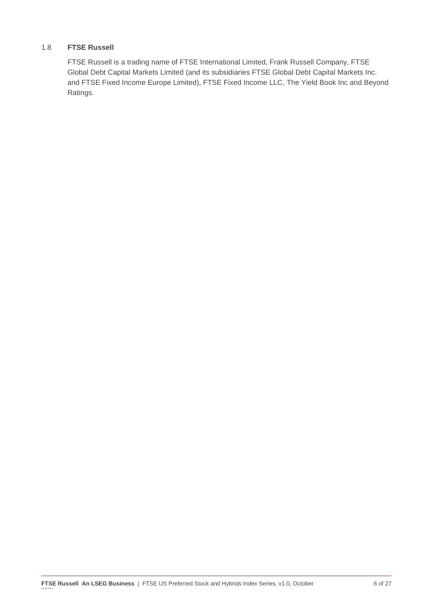#### 1.8 **FTSE Russell**

FTSE Russell is a trading name of FTSE International Limited, Frank Russell Company, FTSE Global Debt Capital Markets Limited (and its subsidiaries FTSE Global Debt Capital Markets Inc. and FTSE Fixed Income Europe Limited), FTSE Fixed Income LLC, The Yield Book Inc and Beyond Ratings.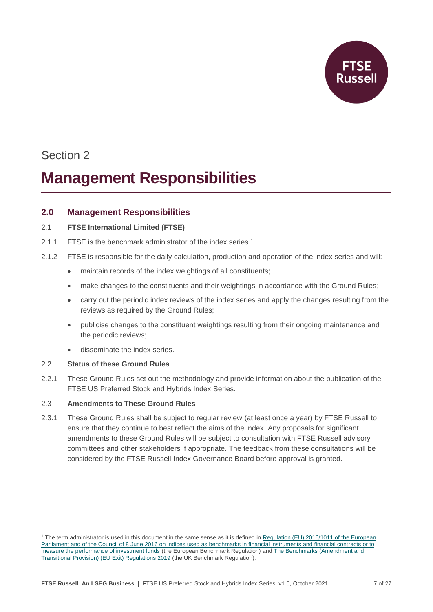

# **Management Responsibilities**

### **2.0 Management Responsibilities**

#### 2.1 **FTSE International Limited (FTSE)**

- 2.1.1 FTSE is the benchmark administrator of the index series. 1
- 2.1.2 FTSE is responsible for the daily calculation, production and operation of the index series and will:
	- maintain records of the index weightings of all constituents;
	- make changes to the constituents and their weightings in accordance with the Ground Rules;
	- carry out the periodic index reviews of the index series and apply the changes resulting from the reviews as required by the Ground Rules;
	- publicise changes to the constituent weightings resulting from their ongoing maintenance and the periodic reviews;
	- disseminate the index series.

#### 2.2 **Status of these Ground Rules**

2.2.1 These Ground Rules set out the methodology and provide information about the publication of the FTSE US Preferred Stock and Hybrids Index Series.

### 2.3 **Amendments to These Ground Rules**

2.3.1 These Ground Rules shall be subject to regular review (at least once a year) by FTSE Russell to ensure that they continue to best reflect the aims of the index. Any proposals for significant amendments to these Ground Rules will be subject to consultation with FTSE Russell advisory committees and other stakeholders if appropriate. The feedback from these consultations will be considered by the FTSE Russell Index Governance Board before approval is granted.

<sup>&</sup>lt;sup>1</sup> The term administrator is used in this document in the same sense as it is defined in Regulation (EU) 2016/1011 of the European [Parliament and of the Council of 8 June 2016 on indices used as benchmarks in financial instruments and financial contracts or to](https://eur-lex.europa.eu/legal-content/EN/TXT/PDF/?uri=CELEX:32016R1011&from=EN)  [measure the performance of investment funds](https://eur-lex.europa.eu/legal-content/EN/TXT/PDF/?uri=CELEX:32016R1011&from=EN) (the European Benchmark Regulation) an[d The Benchmarks \(Amendment and](https://www.legislation.gov.uk/uksi/2019/657/made)  [Transitional Provision\) \(EU Exit\) Regulations 2019](https://www.legislation.gov.uk/uksi/2019/657/made) (the UK Benchmark Regulation).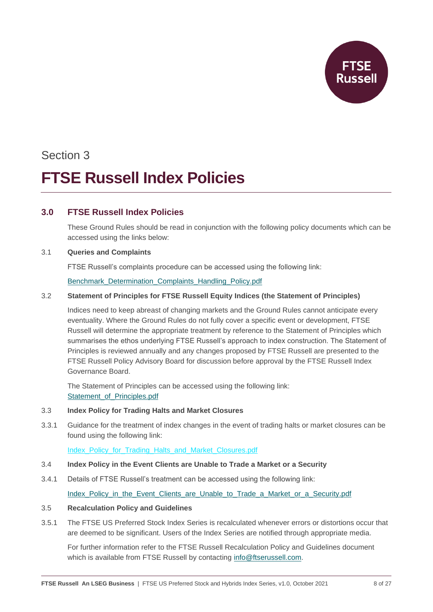# Section 3 **FTSE Russell Index Policies**

## **3.0 FTSE Russell Index Policies**

These Ground Rules should be read in conjunction with the following policy documents which can be accessed using the links below:

#### 3.1 **Queries and Complaints**

FTSE Russell's complaints procedure can be accessed using the following link:

[Benchmark\\_Determination\\_Complaints\\_Handling\\_Policy.pdf](https://research.ftserussell.com/products/downloads/FTSE_Russell_Benchmark_Determination_Complaints-Handling_Policy.pdf?_ga=2.166148350.1556859503.1617011412-1613762011.1616519196)

#### 3.2 **Statement of Principles for FTSE Russell Equity Indices (the Statement of Principles)**

Indices need to keep abreast of changing markets and the Ground Rules cannot anticipate every eventuality. Where the Ground Rules do not fully cover a specific event or development, FTSE Russell will determine the appropriate treatment by reference to the Statement of Principles which summarises the ethos underlying FTSE Russell's approach to index construction. The Statement of Principles is reviewed annually and any changes proposed by FTSE Russell are presented to the FTSE Russell Policy Advisory Board for discussion before approval by the FTSE Russell Index Governance Board.

The Statement of Principles can be accessed using the following link: Statement of Principles.pdf

#### 3.3 **Index Policy for Trading Halts and Market Closures**

3.3.1 Guidance for the treatment of index changes in the event of trading halts or market closures can be found using the following link:

[Index\\_Policy\\_for\\_Trading\\_Halts\\_and\\_Market\\_Closures.pdf](https://research.ftserussell.com/products/downloads/FTSE_Russell_Index_Policy_for_Trading_Halts_and_Market_Closures.pdf)

- 3.4 **Index Policy in the Event Clients are Unable to Trade a Market or a Security**
- 3.4.1 Details of FTSE Russell's treatment can be accessed using the following link: [Index\\_Policy\\_in\\_the\\_Event\\_Clients\\_are\\_Unable\\_to\\_Trade\\_a\\_Market\\_or\\_a\\_Security.pdf](https://research.ftserussell.com/products/downloads/FTSE_Russell_Index_Policy_in_the_Event_Clients_are_Unable_to_Trade_a_Market_or_a_Security.pdf)

#### 3.5 **Recalculation Policy and Guidelines**

3.5.1 The FTSE US Preferred Stock Index Series is recalculated whenever errors or distortions occur that are deemed to be significant. Users of the Index Series are notified through appropriate media.

For further information refer to the FTSE Russell Recalculation Policy and Guidelines document which is available from FTSE Russell by contacting [info@ftserussell.com.](mailto:info@ftserussell.com)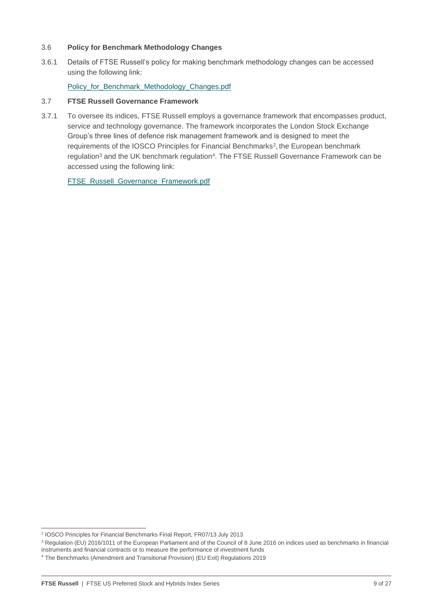#### 3.6 **Policy for Benchmark Methodology Changes**

3.6.1 Details of FTSE Russell's policy for making benchmark methodology changes can be accessed using the following link:

[Policy\\_for\\_Benchmark\\_Methodology\\_Changes.pdf](https://research.ftserussell.com/products/downloads/FTSE_Russell_Index_Policy_for_Trading_Halts_and_Market_Closures.pdf)

#### 3.7 **FTSE Russell Governance Framework**

3.7.1 To oversee its indices, FTSE Russell employs a governance framework that encompasses product, service and technology governance. The framework incorporates the London Stock Exchange Group's three lines of defence risk management framework and is designed to meet the requirements of the IOSCO Principles for Financial Benchmarks<sup>2</sup>, the European benchmark regulation<sup>3</sup> and the UK benchmark regulation<sup>4</sup>. The FTSE Russell Governance Framework can be accessed using the following link:

[FTSE\\_Russell\\_Governance\\_Framework.pdf](https://research.ftserussell.com/products/downloads/FTSE_Russell_Governance_Framework.pdf)

<sup>2</sup> IOSCO Principles for Financial Benchmarks Final Report, FR07/13 July 2013

<sup>&</sup>lt;sup>3</sup> Regulation (EU) 2016/1011 of the European Parliament and of the Council of 8 June 2016 on indices used as benchmarks in financial

instruments and financial contracts or to measure the performance of investment funds

<sup>4</sup> The Benchmarks (Amendment and Transitional Provision) (EU Exit) Regulations 2019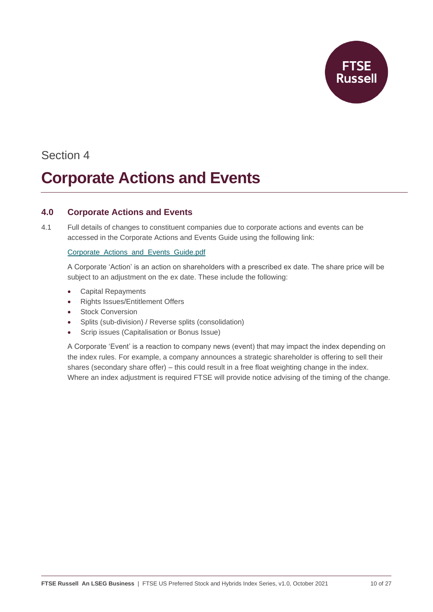

# **Corporate Actions and Events**

## **4.0 Corporate Actions and Events**

4.1 Full details of changes to constituent companies due to corporate actions and events can be accessed in the Corporate Actions and Events Guide using the following link:

#### [Corporate\\_Actions\\_and\\_Events\\_Guide.pdf](https://research.ftserussell.com/products/downloads/Corporate_Actions_and_Events_Guide.pdf)

A Corporate 'Action' is an action on shareholders with a prescribed ex date. The share price will be subject to an adjustment on the ex date. These include the following:

- Capital Repayments
- Rights Issues/Entitlement Offers
- **Stock Conversion**
- Splits (sub-division) / Reverse splits (consolidation)
- Scrip issues (Capitalisation or Bonus Issue)

A Corporate 'Event' is a reaction to company news (event) that may impact the index depending on the index rules. For example, a company announces a strategic shareholder is offering to sell their shares (secondary share offer) – this could result in a free float weighting change in the index. Where an index adjustment is required FTSE will provide notice advising of the timing of the change.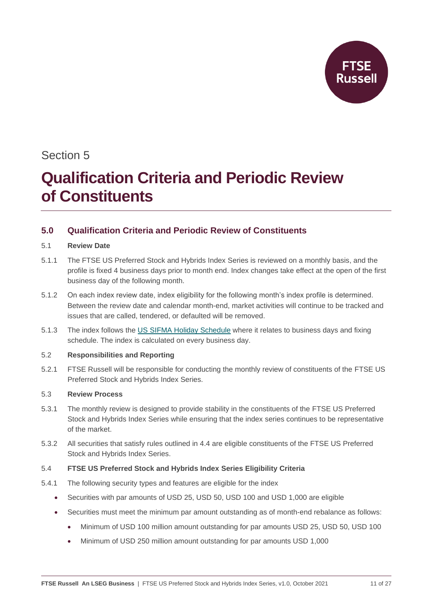

# **Qualification Criteria and Periodic Review of Constituents**

## **5.0 Qualification Criteria and Periodic Review of Constituents**

#### 5.1 **Review Date**

- 5.1.1 The FTSE US Preferred Stock and Hybrids Index Series is reviewed on a monthly basis, and the profile is fixed 4 business days prior to month end. Index changes take effect at the open of the first business day of the following month.
- 5.1.2 On each index review date, index eligibility for the following month's index profile is determined. Between the review date and calendar month-end, market activities will continue to be tracked and issues that are called, tendered, or defaulted will be removed.
- 5.1.3 The index follows the [US SIFMA Holiday Schedule](https://www.sifma.org/resources/general/holiday-schedule/#US) where it relates to business days and fixing schedule. The index is calculated on every business day.

#### 5.2 **Responsibilities and Reporting**

5.2.1 FTSE Russell will be responsible for conducting the monthly review of constituents of the FTSE US Preferred Stock and Hybrids Index Series.

### 5.3 **Review Process**

- 5.3.1 The monthly review is designed to provide stability in the constituents of the FTSE US Preferred Stock and Hybrids Index Series while ensuring that the index series continues to be representative of the market.
- 5.3.2 All securities that satisfy rules outlined in 4.4 are eligible constituents of the FTSE US Preferred Stock and Hybrids Index Series.

### 5.4 **FTSE US Preferred Stock and Hybrids Index Series Eligibility Criteria**

- 5.4.1 The following security types and features are eligible for the index
	- Securities with par amounts of USD 25, USD 50, USD 100 and USD 1,000 are eligible
	- Securities must meet the minimum par amount outstanding as of month-end rebalance as follows:
		- Minimum of USD 100 million amount outstanding for par amounts USD 25, USD 50, USD 100
		- Minimum of USD 250 million amount outstanding for par amounts USD 1,000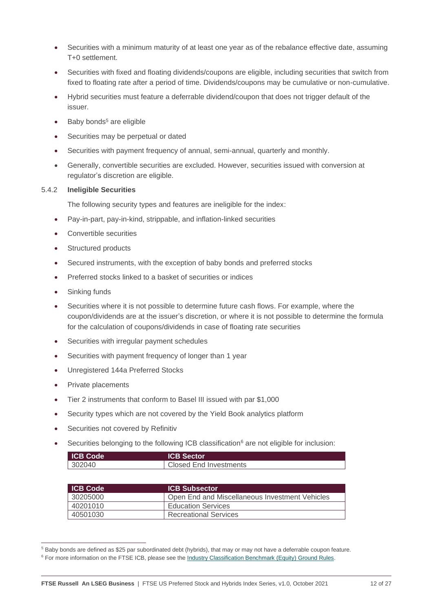- Securities with a minimum maturity of at least one year as of the rebalance effective date, assuming T+0 settlement.
- Securities with fixed and floating dividends/coupons are eligible, including securities that switch from fixed to floating rate after a period of time. Dividends/coupons may be cumulative or non-cumulative.
- Hybrid securities must feature a deferrable dividend/coupon that does not trigger default of the issuer.
- $\bullet$  Baby bonds<sup>5</sup> are eligible
- Securities may be perpetual or dated
- Securities with payment frequency of annual, semi-annual, quarterly and monthly.
- Generally, convertible securities are excluded. However, securities issued with conversion at regulator's discretion are eligible.

#### 5.4.2 **Ineligible Securities**

The following security types and features are ineligible for the index:

- Pay-in-part, pay-in-kind, strippable, and inflation-linked securities
- Convertible securities
- Structured products
- Secured instruments, with the exception of baby bonds and preferred stocks
- Preferred stocks linked to a basket of securities or indices
- Sinking funds
- Securities where it is not possible to determine future cash flows. For example, where the coupon/dividends are at the issuer's discretion, or where it is not possible to determine the formula for the calculation of coupons/dividends in case of floating rate securities
- Securities with irregular payment schedules
- Securities with payment frequency of longer than 1 year
- Unregistered 144a Preferred Stocks
- Private placements
- Tier 2 instruments that conform to Basel III issued with par \$1,000
- Security types which are not covered by the Yield Book analytics platform
- Securities not covered by Refinitiv
- Securities belonging to the following ICB classification<sup>6</sup> are not eligible for inclusion:

| <b>ICB Code</b> | <b>ICB Sector</b>      |
|-----------------|------------------------|
| 302040          | Closed End Investments |

| <b>ICB Code</b> | <b>ICB Subsector</b>                           |
|-----------------|------------------------------------------------|
| 30205000        | Open End and Miscellaneous Investment Vehicles |
| 40201010        | <b>Education Services</b>                      |
| 40501030        | <b>Recreational Services</b>                   |

<sup>5</sup> Baby bonds are defined as \$25 par subordinated debt (hybrids), that may or may not have a deferrable coupon feature.

<sup>&</sup>lt;sup>6</sup> For more information on the FTSE ICB, please see th[e Industry Classification Benchmark \(Equity\)](https://research.ftserussell.com/products/downloads/ICB_Rules_new.pdf) Ground Rules.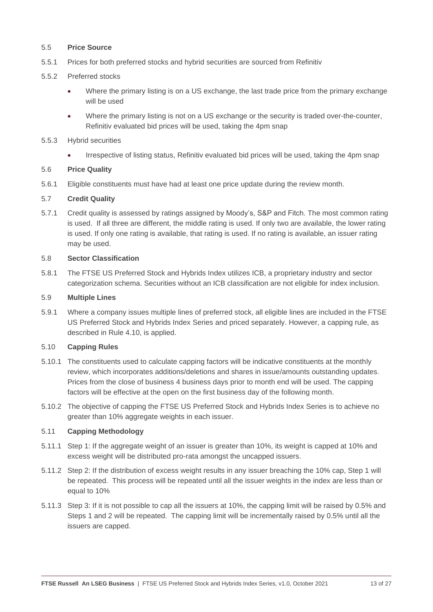#### 5.5 **Price Source**

- 5.5.1 Prices for both preferred stocks and hybrid securities are sourced from Refinitiv
- 5.5.2 Preferred stocks
	- Where the primary listing is on a US exchange, the last trade price from the primary exchange will be used
	- Where the primary listing is not on a US exchange or the security is traded over-the-counter, Refinitiv evaluated bid prices will be used, taking the 4pm snap
- 5.5.3 Hybrid securities
	- Irrespective of listing status, Refinitiv evaluated bid prices will be used, taking the 4pm snap

#### 5.6 **Price Quality**

5.6.1 Eligible constituents must have had at least one price update during the review month.

#### 5.7 **Credit Quality**

5.7.1 Credit quality is assessed by ratings assigned by Moody's, S&P and Fitch. The most common rating is used. If all three are different, the middle rating is used. If only two are available, the lower rating is used. If only one rating is available, that rating is used. If no rating is available, an issuer rating may be used.

#### 5.8 **Sector Classification**

5.8.1 The FTSE US Preferred Stock and Hybrids Index utilizes ICB, a proprietary industry and sector categorization schema. Securities without an ICB classification are not eligible for index inclusion.

#### 5.9 **Multiple Lines**

5.9.1 Where a company issues multiple lines of preferred stock, all eligible lines are included in the FTSE US Preferred Stock and Hybrids Index Series and priced separately. However, a capping rule, as described in Rule 4.10, is applied.

#### 5.10 **Capping Rules**

- 5.10.1 The constituents used to calculate capping factors will be indicative constituents at the monthly review, which incorporates additions/deletions and shares in issue/amounts outstanding updates. Prices from the close of business 4 business days prior to month end will be used. The capping factors will be effective at the open on the first business day of the following month.
- 5.10.2 The objective of capping the FTSE US Preferred Stock and Hybrids Index Series is to achieve no greater than 10% aggregate weights in each issuer.

#### 5.11 **Capping Methodology**

- 5.11.1 Step 1: If the aggregate weight of an issuer is greater than 10%, its weight is capped at 10% and excess weight will be distributed pro-rata amongst the uncapped issuers.
- 5.11.2 Step 2: If the distribution of excess weight results in any issuer breaching the 10% cap, Step 1 will be repeated. This process will be repeated until all the issuer weights in the index are less than or equal to 10%
- 5.11.3 Step 3: If it is not possible to cap all the issuers at 10%, the capping limit will be raised by 0.5% and Steps 1 and 2 will be repeated. The capping limit will be incrementally raised by 0.5% until all the issuers are capped.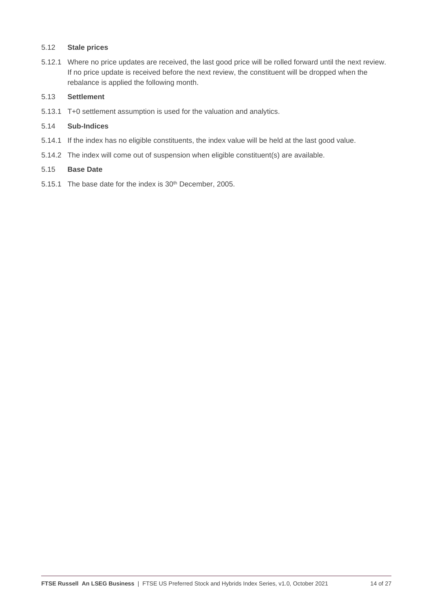#### 5.12 **Stale prices**

5.12.1 Where no price updates are received, the last good price will be rolled forward until the next review. If no price update is received before the next review, the constituent will be dropped when the rebalance is applied the following month.

#### 5.13 **Settlement**

5.13.1 T+0 settlement assumption is used for the valuation and analytics.

#### 5.14 **Sub-Indices**

- 5.14.1 If the index has no eligible constituents, the index value will be held at the last good value.
- 5.14.2 The index will come out of suspension when eligible constituent(s) are available.

#### 5.15 **Base Date**

5.15.1 The base date for the index is 30<sup>th</sup> December, 2005.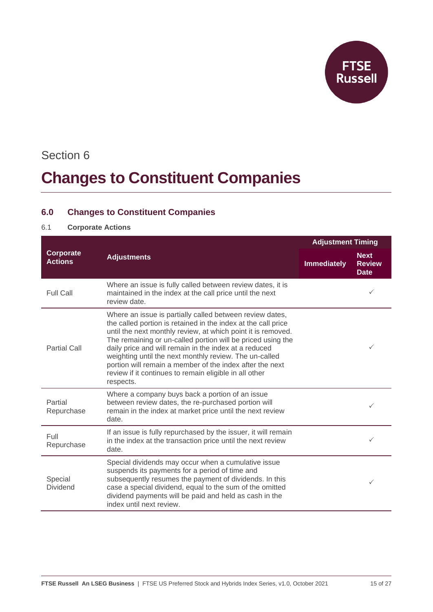

# **Changes to Constituent Companies**

## **6.0 Changes to Constituent Companies**

### 6.1 **Corporate Actions**

|                             |                                                                                                                                                                                                                                                                                                                                                                                                                                                                                                                | <b>Adjustment Timing</b> |                                             |
|-----------------------------|----------------------------------------------------------------------------------------------------------------------------------------------------------------------------------------------------------------------------------------------------------------------------------------------------------------------------------------------------------------------------------------------------------------------------------------------------------------------------------------------------------------|--------------------------|---------------------------------------------|
| Corporate<br><b>Actions</b> | <b>Adjustments</b>                                                                                                                                                                                                                                                                                                                                                                                                                                                                                             | <b>Immediately</b>       | <b>Next</b><br><b>Review</b><br><b>Date</b> |
| <b>Full Call</b>            | Where an issue is fully called between review dates, it is<br>maintained in the index at the call price until the next<br>review date.                                                                                                                                                                                                                                                                                                                                                                         |                          | $\checkmark$                                |
| <b>Partial Call</b>         | Where an issue is partially called between review dates,<br>the called portion is retained in the index at the call price<br>until the next monthly review, at which point it is removed.<br>The remaining or un-called portion will be priced using the<br>daily price and will remain in the index at a reduced<br>weighting until the next monthly review. The un-called<br>portion will remain a member of the index after the next<br>review if it continues to remain eligible in all other<br>respects. |                          | $\checkmark$                                |
| Partial<br>Repurchase       | Where a company buys back a portion of an issue<br>between review dates, the re-purchased portion will<br>remain in the index at market price until the next review<br>date.                                                                                                                                                                                                                                                                                                                                   |                          | $\checkmark$                                |
| Full<br>Repurchase          | If an issue is fully repurchased by the issuer, it will remain<br>in the index at the transaction price until the next review<br>date.                                                                                                                                                                                                                                                                                                                                                                         |                          | ✓                                           |
| Special<br><b>Dividend</b>  | Special dividends may occur when a cumulative issue<br>suspends its payments for a period of time and<br>subsequently resumes the payment of dividends. In this<br>case a special dividend, equal to the sum of the omitted<br>dividend payments will be paid and held as cash in the<br>index until next review.                                                                                                                                                                                              |                          | $\checkmark$                                |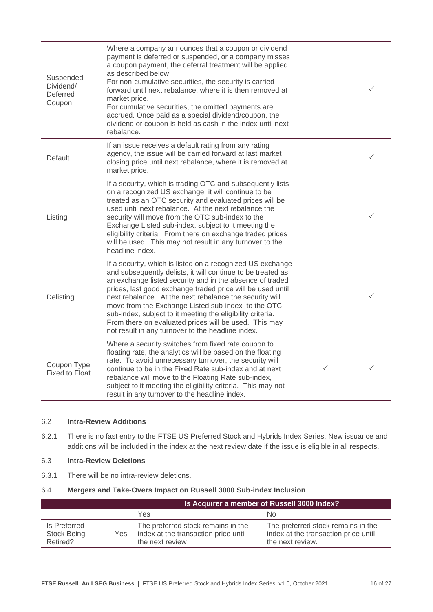| Suspended<br>Dividend/<br>Deferred<br>Coupon | Where a company announces that a coupon or dividend<br>payment is deferred or suspended, or a company misses<br>a coupon payment, the deferral treatment will be applied<br>as described below.<br>For non-cumulative securities, the security is carried<br>forward until next rebalance, where it is then removed at<br>market price.<br>For cumulative securities, the omitted payments are<br>accrued. Once paid as a special dividend/coupon, the<br>dividend or coupon is held as cash in the index until next<br>rebalance.               |   | $\checkmark$ |
|----------------------------------------------|--------------------------------------------------------------------------------------------------------------------------------------------------------------------------------------------------------------------------------------------------------------------------------------------------------------------------------------------------------------------------------------------------------------------------------------------------------------------------------------------------------------------------------------------------|---|--------------|
| Default                                      | If an issue receives a default rating from any rating<br>agency, the issue will be carried forward at last market<br>closing price until next rebalance, where it is removed at<br>market price.                                                                                                                                                                                                                                                                                                                                                 |   | ✓            |
| Listing                                      | If a security, which is trading OTC and subsequently lists<br>on a recognized US exchange, it will continue to be<br>treated as an OTC security and evaluated prices will be<br>used until next rebalance. At the next rebalance the<br>security will move from the OTC sub-index to the<br>Exchange Listed sub-index, subject to it meeting the<br>eligibility criteria. From there on exchange traded prices<br>will be used. This may not result in any turnover to the<br>headline index.                                                    |   | $\checkmark$ |
| Delisting                                    | If a security, which is listed on a recognized US exchange<br>and subsequently delists, it will continue to be treated as<br>an exchange listed security and in the absence of traded<br>prices, last good exchange traded price will be used until<br>next rebalance. At the next rebalance the security will<br>move from the Exchange Listed sub-index to the OTC<br>sub-index, subject to it meeting the eligibility criteria.<br>From there on evaluated prices will be used. This may<br>not result in any turnover to the headline index. |   | $\checkmark$ |
| Coupon Type<br><b>Fixed to Float</b>         | Where a security switches from fixed rate coupon to<br>floating rate, the analytics will be based on the floating<br>rate. To avoid unnecessary turnover, the security will<br>continue to be in the Fixed Rate sub-index and at next<br>rebalance will move to the Floating Rate sub-index,<br>subject to it meeting the eligibility criteria. This may not<br>result in any turnover to the headline index.                                                                                                                                    | ✓ | $\checkmark$ |

#### 6.2 **Intra-Review Additions**

6.2.1 There is no fast entry to the FTSE US Preferred Stock and Hybrids Index Series. New issuance and additions will be included in the index at the next review date if the issue is eligible in all respects.

#### 6.3 **Intra-Review Deletions**

6.3.1 There will be no intra-review deletions.

#### 6.4 **Mergers and Take-Overs Impact on Russell 3000 Sub-index Inclusion**

|                                         |     | Is Acquirer a member of Russell 3000 Index?                                                   |                                                                                                |  |
|-----------------------------------------|-----|-----------------------------------------------------------------------------------------------|------------------------------------------------------------------------------------------------|--|
|                                         |     | Yes                                                                                           | No.                                                                                            |  |
| Is Preferred<br>Stock Being<br>Retired? | Yes | The preferred stock remains in the<br>index at the transaction price until<br>the next review | The preferred stock remains in the<br>index at the transaction price until<br>the next review. |  |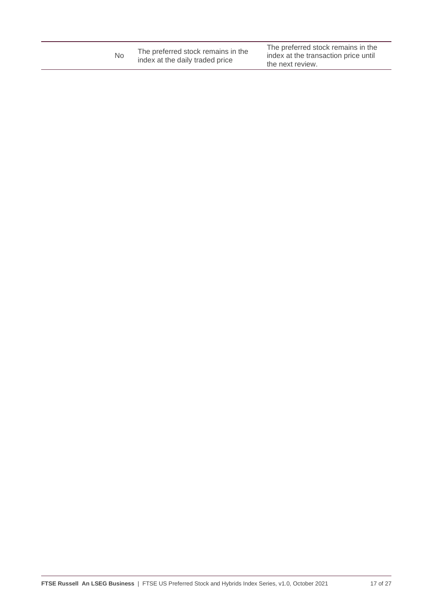| No | The preferred stock remains in the<br>index at the daily traded price | The preferred stock remains in the<br>index at the transaction price until<br>the next review. |
|----|-----------------------------------------------------------------------|------------------------------------------------------------------------------------------------|
|----|-----------------------------------------------------------------------|------------------------------------------------------------------------------------------------|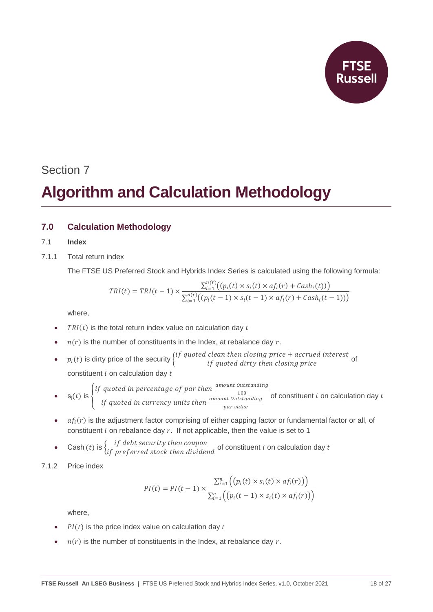# **Algorithm and Calculation Methodology**

## **7.0 Calculation Methodology**

### 7.1 **Index**

7.1.1 Total return index

The FTSE US Preferred Stock and Hybrids Index Series is calculated using the following formula:

$$
TRI(t) = TRI(t-1) \times \frac{\sum_{i=1}^{n(r)} ((p_i(t) \times s_i(t) \times af_i(r) + Cash_i(t)))}{\sum_{i=1}^{n(r)} ((p_i(t-1) \times s_i(t-1) \times af_i(r) + Cash_i(t-1)))}
$$

where,

- $TRI(t)$  is the total return index value on calculation day  $t$
- $n(r)$  is the number of constituents in the Index, at rebalance day  $r$ .
- $p_i(t)$  is dirty price of the security  $\begin{cases} if \emph{ quoted clean then closing price} + \emph{accured interest} \\ if \emph{quoted dirty then closing price} \end{cases}$  of constituent  $i$  on calculation day  $t$
- $s_i(t)$  is  $\{$ if quoted in percentage of par then  $\frac{amount~Outstanding}{100}$ 100 *if quoted in currency units then*  $\frac{amount~Outstanding}{num{blue}}$ of constituent  $i$  on calculation day  $t$
- par value  $\bullet$  a $f_i(r)$  is the adjustment factor comprising of either capping factor or fundamental factor or all, of constituent  $i$  on rebalance day  $r$ . If not applicable, then the value is set to 1

$$
\cosh(t)
$$
 is  $\int$  if debt security then coupon

• Cash<sub>i</sub>(*t*) is  $\begin{cases} if\ debt\ security\ then\ coupon\ \text{of}\ constant\ i\ on\ calculation\ day\ t\end{cases}$ 

### 7.1.2 Price index

$$
PI(t) = PI(t-1) \times \frac{\sum_{i=1}^{n} ((p_i(t) \times s_i(t) \times af_i(r)))}{\sum_{i=1}^{n} ((p_i(t-1) \times s_i(t) \times af_i(r)))}
$$

- $PI(t)$  is the price index value on calculation day  $t$
- $n(r)$  is the number of constituents in the Index, at rebalance day r.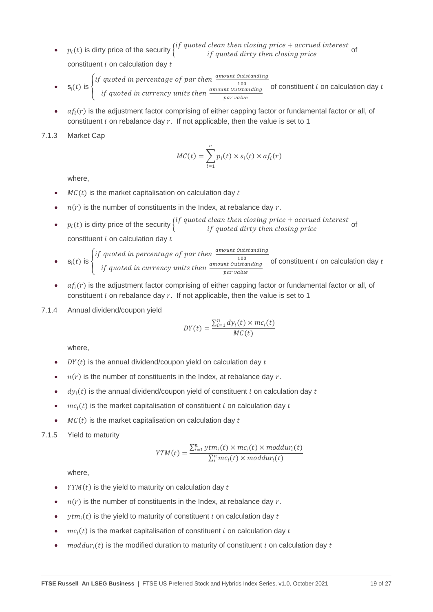- $p_i(t)$  is dirty price of the security  $\begin{cases} if \text{ quoted clean then closing price} + \text{accrued interest} \\ if \text{ quoted dirty then closing price} \end{cases}$ *if quoted dirty then closing price*<br>*if quoted dirty then closing price* constituent  $i$  on calculation day  $t$
- $s_i(t)$  is  $\left\{$ if quoted in percentage of par then  $\frac{amount~Outstanding}{100}$ 100 *if quoted in currency units then*  $\frac{amount~Outstanding}{norm$ par value of constituent  $i$  on calculation day  $t$
- $\bullet$  a $f_i(r)$  is the adjustment factor comprising of either capping factor or fundamental factor or all, of constituent  $i$  on rebalance day  $r$ . If not applicable, then the value is set to 1

7.1.3 Market Cap

$$
MC(t) = \sum_{i=1}^{n} p_i(t) \times s_i(t) \times af_i(r)
$$

where,

- $MC(t)$  is the market capitalisation on calculation day  $t$
- $n(r)$  is the number of constituents in the Index, at rebalance day r.
- $p_i(t)$  is dirty price of the security  $\begin{cases} if \emph{ quoted clean then closing price} + \emph{accured interest} \\ if \emph{quoted dirty then closing price} \end{cases}$  of constituent  $i$  on calculation day  $t$
- $s_i(t)$  is  $\{$ if quoted in percentage of par then  $\frac{amount~Outstanding}{100}$ 100 if quoted in currency units then  $\frac{amount~Outstanding}{num{blue}}$ par value of constituent  $i$  on calculation day  $t$
- $\bullet$  a $f_i(r)$  is the adjustment factor comprising of either capping factor or fundamental factor or all, of constituent  $i$  on rebalance day  $r$ . If not applicable, then the value is set to 1
- 7.1.4 Annual dividend/coupon yield

$$
DY(t) = \frac{\sum_{i=1}^{n} dy_i(t) \times mc_i(t)}{MC(t)}
$$

where,

- $DY(t)$  is the annual dividend/coupon yield on calculation day t
- $n(r)$  is the number of constituents in the Index, at rebalance day r.
- $\bullet$   $dy_i(t)$  is the annual dividend/coupon yield of constituent *i* on calculation day *t*
- $mc<sub>i</sub>(t)$  is the market capitalisation of constituent *i* on calculation day *t*
- $MC(t)$  is the market capitalisation on calculation day t

#### 7.1.5 Yield to maturity

$$
YTM(t) = \frac{\sum_{i=1}^{n} ytm_i(t) \times mc_i(t) \times moddur_i(t)}{\sum_{i}^{n} mc_i(t) \times moddur_i(t)}
$$

- $YTM(t)$  is the yield to maturity on calculation day t
- $n(r)$  is the number of constituents in the Index, at rebalance day  $r$ .
- $ytm_i(t)$  is the yield to maturity of constituent *i* on calculation day *t*
- $mc<sub>i</sub>(t)$  is the market capitalisation of constituent *i* on calculation day *t*
- $moddur_i(t)$  is the modified duration to maturity of constituent  $i$  on calculation day  $t$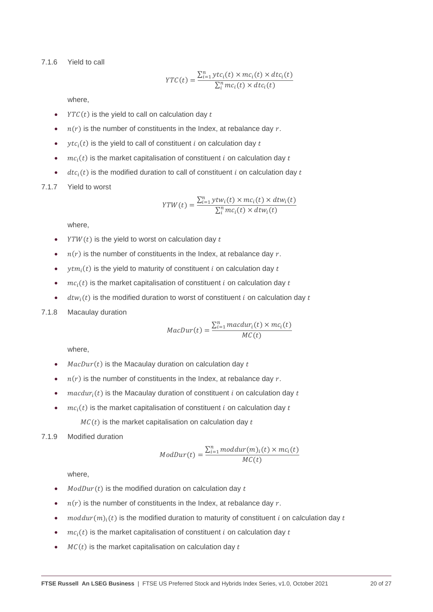7.1.6 Yield to call

$$
YTC(t) = \frac{\sum_{i=1}^{n} ytc_i(t) \times mc_i(t) \times dtc_i(t)}{\sum_{i}^{n} mc_i(t) \times dtc_i(t)}
$$

where,

- $YTC(t)$  is the yield to call on calculation day t
- $n(r)$  is the number of constituents in the Index, at rebalance day r.
- $ytc<sub>i</sub>(t)$  is the yield to call of constituent *i* on calculation day *t*
- $mc<sub>i</sub>(t)$  is the market capitalisation of constituent *i* on calculation day *t*
- $\bullet$   $dt c_i(t)$  is the modified duration to call of constituent *i* on calculation day *t*
- 7.1.7 Yield to worst

$$
YTW(t) = \frac{\sum_{i=1}^{n} ytw_i(t) \times mc_i(t) \times dtw_i(t)}{\sum_{i}^{n} mc_i(t) \times dtw_i(t)}
$$

where,

- $\gamma T W(t)$  is the yield to worst on calculation day  $t$
- $n(r)$  is the number of constituents in the Index, at rebalance day r.
- $ytm_i(t)$  is the yield to maturity of constituent *i* on calculation day *t*
- $mc<sub>i</sub>(t)$  is the market capitalisation of constituent *i* on calculation day *t*
- $\bullet$  dtw<sub>i</sub>(t) is the modified duration to worst of constituent *i* on calculation day t
- 7.1.8 Macaulay duration

$$
MacDur(t) = \frac{\sum_{i=1}^{n} macdur_i(t) \times mc_i(t)}{MC(t)}
$$

where,

- $MacDur(t)$  is the Macaulay duration on calculation day  $t$
- $n(r)$  is the number of constituents in the Index, at rebalance day r.
- $macdur_i(t)$  is the Macaulay duration of constituent  $i$  on calculation day  $t$
- $mc<sub>i</sub>(t)$  is the market capitalisation of constituent *i* on calculation day *t*  $MC(t)$  is the market capitalisation on calculation day t

#### 7.1.9 Modified duration

$$
ModDur(t) = \frac{\sum_{i=1}^{n} moddur(m)_i(t) \times mc_i(t)}{MC(t)}
$$

- $ModDur(t)$  is the modified duration on calculation day  $t$
- $n(r)$  is the number of constituents in the Index, at rebalance day r.
- moddur $(m)_i(t)$  is the modified duration to maturity of constituent *i* on calculation day *t*
- $mc<sub>i</sub>(t)$  is the market capitalisation of constituent *i* on calculation day *t*
- $MC(t)$  is the market capitalisation on calculation day t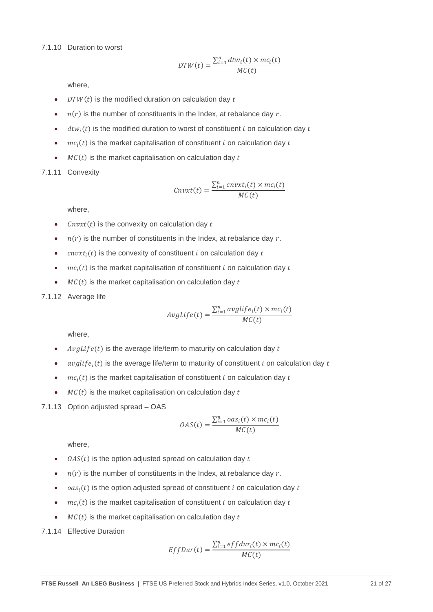#### 7.1.10 Duration to worst

$$
DTW(t) = \frac{\sum_{i=1}^{n} dt w_i(t) \times mc_i(t)}{MC(t)}
$$

where,

- $DTW(t)$  is the modified duration on calculation day  $t$
- $n(r)$  is the number of constituents in the Index, at rebalance day r.
- $\bullet$  dtw<sub>i</sub>(t) is the modified duration to worst of constituent *i* on calculation day t
- $mc<sub>i</sub>(t)$  is the market capitalisation of constituent *i* on calculation day *t*
- $MC(t)$  is the market capitalisation on calculation day  $t$

7.1.11 Convexity

$$
cnvxt(t) = \frac{\sum_{i=1}^{n} cnvxt_i(t) \times mc_i(t)}{MC(t)}
$$

where,

- $\int$   $\mathcal{L}$   $\mathcal{L}$   $\mathcal{L}$   $\mathcal{L}$  is the convexity on calculation day  $t$
- $n(r)$  is the number of constituents in the Index, at rebalance day r.
- $cnvxt<sub>i</sub>(t)$  is the convexity of constituent *i* on calculation day *t*
- $mc<sub>i</sub>(t)$  is the market capitalisation of constituent *i* on calculation day *t*
- $MC(t)$  is the market capitalisation on calculation day  $t$

### 7.1.12 Average life

$$
AvgLife(t) = \frac{\sum_{i=1}^{n} avglife_i(t) \times mc_i(t)}{MC(t)}
$$

where,

- $AvgLife(t)$  is the average life/term to maturity on calculation day t
- $\alpha \textit{value}(t)$  is the average life/term to maturity of constituent *i* on calculation day *t*
- $mc<sub>i</sub>(t)$  is the market capitalisation of constituent *i* on calculation day *t*
- $MC(t)$  is the market capitalisation on calculation day  $t$
- 7.1.13 Option adjusted spread OAS

$$
OAS(t) = \frac{\sum_{i=1}^{n} oas_i(t) \times mc_i(t)}{MC(t)}
$$

where,

- $0AS(t)$  is the option adjusted spread on calculation day t
- $n(r)$  is the number of constituents in the Index, at rebalance day  $r$ .
- $oas<sub>i</sub>(t)$  is the option adjusted spread of constituent *i* on calculation day *t*
- $mc<sub>i</sub>(t)$  is the market capitalisation of constituent *i* on calculation day *t*
- $MC(t)$  is the market capitalisation on calculation day  $t$

7.1.14 Effective Duration

$$
EffDur(t) = \frac{\sum_{i=1}^{n} effdur_i(t) \times mc_i(t)}{MC(t)}
$$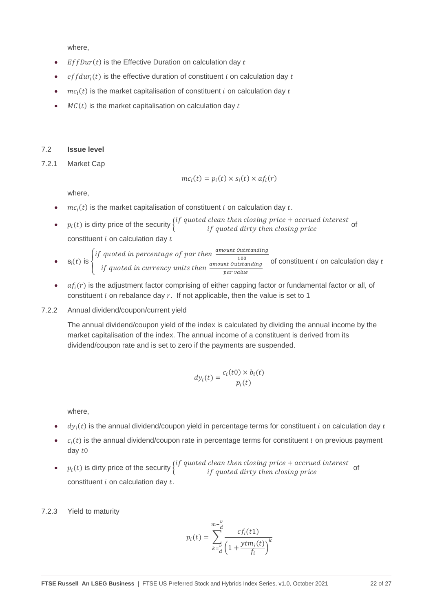- $EffDur(t)$  is the Effective Duration on calculation day  $t$
- $effdur_i(t)$  is the effective duration of constituent *i* on calculation day *t*
- $mc<sub>i</sub>(t)$  is the market capitalisation of constituent *i* on calculation day *t*
- $MC(t)$  is the market capitalisation on calculation day  $t$

#### 7.2 **Issue level**

7.2.1 Market Cap

$$
mc_i(t) = p_i(t) \times s_i(t) \times af_i(r)
$$

where,

- $mc<sub>i</sub>(t)$  is the market capitalisation of constituent *i* on calculation day *t*.
- $p_i(t)$  is dirty price of the security  $\begin{cases} if \emph{ quoted clean then closing price} + \emph{accured interest} \\ if \emph{quoted dirty then closing price} \end{cases}$  of constituent  $i$  on calculation day  $t$
- $s_i(t)$  is  $\{$ if quoted in percentage of par then  $\frac{amount~Outstanding}{100}$ 100 if quoted in currency units then  $\frac{amount~Outstanding}{num{blue}}$ par value of constituent  $i$  on calculation day  $t$
- $\bullet$  a $f_i(r)$  is the adjustment factor comprising of either capping factor or fundamental factor or all, of constituent  $i$  on rebalance day  $r$ . If not applicable, then the value is set to 1

#### 7.2.2 Annual dividend/coupon/current yield

The annual dividend/coupon yield of the index is calculated by dividing the annual income by the market capitalisation of the index. The annual income of a constituent is derived from its dividend/coupon rate and is set to zero if the payments are suspended.

$$
dy_i(t) = \frac{c_i(t0) \times b_i(t)}{p_i(t)}
$$

where,

- $\bullet$   $dy_i(t)$  is the annual dividend/coupon yield in percentage terms for constituent *i* on calculation day *t*
- $\bullet$   $c_i(t)$  is the annual dividend/coupon rate in percentage terms for constituent i on previous payment day  $t0$
- $p_i(t)$  is dirty price of the security  $\begin{cases} if \emph{ quoted clean then closing price} + \emph{accured interest} \\ if \emph{quoted dirty then closing price} \end{cases}$ constituent  $i$  on calculation day  $t$ .

7.2.3 Yield to maturity

$$
p_i(t) = \sum_{k=\overline{a}}^{m+\overline{a}} \frac{cf_i(t1)}{\left(1+\frac{ytm_i(t)}{f_i}\right)^k}
$$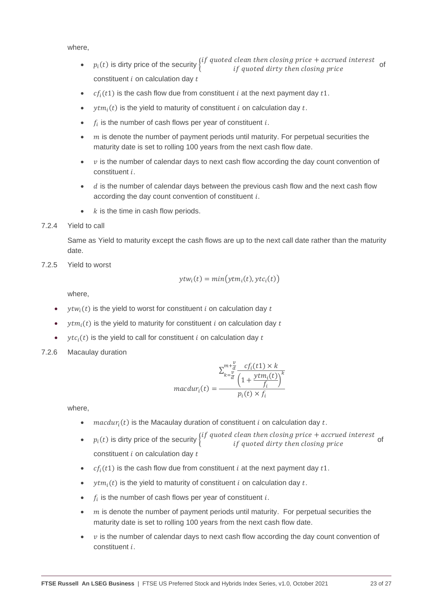- $p_i(t)$  is dirty price of the security  $\begin{cases} if \emph{ quoted clean then closing price} + \emph{accured interest} \\ if \emph{quoted dirty then closing price} \end{cases}$ constituent  $i$  on calculation day  $t$
- $cf_i(t1)$  is the cash flow due from constituent *i* at the next payment day  $t1$ .
- $ytm_i(t)$  is the yield to maturity of constituent *i* on calculation day *t*.
- $f_i$  is the number of cash flows per year of constituent i.
- $m$  is denote the number of payment periods until maturity. For perpetual securities the maturity date is set to rolling 100 years from the next cash flow date.
- $\nu$  is the number of calendar days to next cash flow according the day count convention of  $constituent$   $i$ .
- $\bullet$   $\cdot$   $\cdot$   $\cdot$  is the number of calendar days between the previous cash flow and the next cash flow according the day count convention of constituent  $i$ .
- $k$  is the time in cash flow periods.

7.2.4 Yield to call

Same as Yield to maturity except the cash flows are up to the next call date rather than the maturity date.

7.2.5 Yield to worst

$$
ytw_i(t) = min\big( ytm_i(t), ytc_i(t) \big)
$$

where,

- $ytw<sub>i</sub>(t)$  is the yield to worst for constituent *i* on calculation day *t*
- $vtm_i(t)$  is the yield to maturity for constituent *i* on calculation day *t*
- $ytc<sub>i</sub>(t)$  is the yield to call for constituent *i* on calculation day *t*
- 7.2.6 Macaulay duration

$$
maxdur_i(t) = \frac{\sum_{k=\frac{v}{d}}^{m+\frac{v}{d}} \frac{cf_i(t1) \times k}{\left(1 + \frac{ytm_i(t)}{f_i}\right)^k}}{p_i(t) \times f_i}
$$

- $macdur_i(t)$  is the Macaulay duration of constituent *i* on calculation day *t*.
- $p_i(t)$  is dirty price of the security  $\begin{cases} if \emph{ quoted clean then closing price} + \emph{accured interest} \\ if \emph{quoted dirty then closing price} \end{cases}$  of constituent  $i$  on calculation day  $t$
- $cf_i(t1)$  is the cash flow due from constituent *i* at the next payment day  $t1$ .
- $ytm_i(t)$  is the yield to maturity of constituent *i* on calculation day *t*.
- $f_i$  is the number of cash flows per year of constituent i.
- $m$  is denote the number of payment periods until maturity. For perpetual securities the maturity date is set to rolling 100 years from the next cash flow date.
- $\nu$  is the number of calendar days to next cash flow according the day count convention of constituent *i*.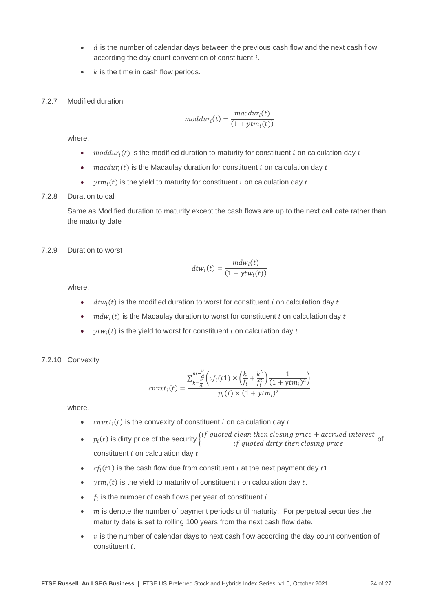- $\bullet$  d is the number of calendar days between the previous cash flow and the next cash flow according the day count convention of constituent  $i$ .
- $k$  is the time in cash flow periods.
- 7.2.7 Modified duration

$$
moddur_i(t) = \frac{macdur_i(t)}{(1 + ytm_i(t))}
$$

- moddur<sub>i</sub> $(t)$  is the modified duration to maturity for constituent *i* on calculation day *t*
- $macdur_i(t)$  is the Macaulay duration for constituent *i* on calculation day *t*
- $vtm_i(t)$  is the vield to maturity for constituent *i* on calculation day *t*

#### 7.2.8 Duration to call

Same as Modified duration to maturity except the cash flows are up to the next call date rather than the maturity date

#### 7.2.9 Duration to worst

$$
dt w_i(t) = \frac{m dw_i(t)}{(1 + y tw_i(t))}
$$

where,

- $\bullet$  dtw<sub>i</sub>(t) is the modified duration to worst for constituent *i* on calculation day t
- $mdw_i(t)$  is the Macaulay duration to worst for constituent *i* on calculation day *t*
- $vtw_i(t)$  is the yield to worst for constituent *i* on calculation day *t*

#### 7.2.10 Convexity

$$
cnvxt_i(t) = \frac{\sum_{k=\frac{v}{d}}^{m+\frac{v}{d}}\left(cf_i(t1) \times \left(\frac{k}{f_i} + \frac{k^2}{f_i^2}\right)\frac{1}{(1+\mathit{ytm}_i)^k}\right)}{p_i(t) \times (1+\mathit{ytm}_i)^2}
$$

- $cnvxt<sub>i</sub>(t)$  is the convexity of constituent *i* on calculation day *t*.
- $p_i(t)$  is dirty price of the security  $\begin{cases} if \emph{ quoted clean then closing price} + \emph{accured interest} \\ if \emph{quoted dirty then closing price} \end{cases}$  of constituent  $i$  on calculation day  $t$
- $cf_i(t1)$  is the cash flow due from constituent *i* at the next payment day  $t1$ .
- $ytm_i(t)$  is the yield to maturity of constituent *i* on calculation day *t*.
- $f_i$  is the number of cash flows per year of constituent i.
- $m$  is denote the number of payment periods until maturity. For perpetual securities the maturity date is set to rolling 100 years from the next cash flow date.
- $\nu$  is the number of calendar days to next cash flow according the day count convention of  $constituent$   $i$ .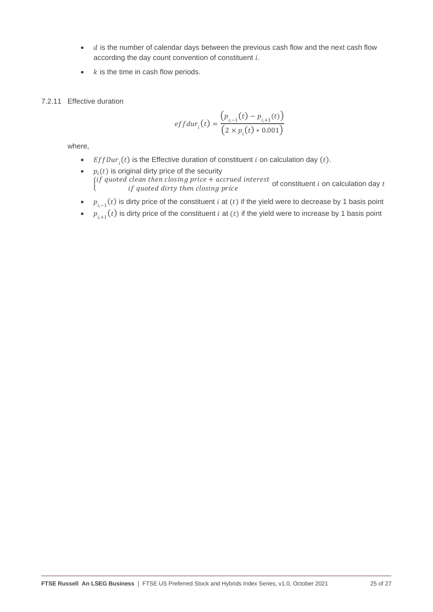- $\bullet$   $\circ$   $\circ$  is the number of calendar days between the previous cash flow and the next cash flow according the day count convention of constituent  $i$ .
- $k$  is the time in cash flow periods.
- 7.2.11 Effective duration

$$
effdur_i(t) = \frac{(p_{i,-1}(t) - p_{i,+1}(t))}{(2 \times p_i(t) * 0.001)}
$$

- EffDur<sub>i</sub>(t) is the Effective duration of constituent *i* on calculation day (t).
- $p_i(t)$  is original dirty price of the security  ${\it (if quoted clean then closing price + accrued interest \atop of constituent\ i on calculation day\ t} \nonumber$
- $p_{i,-1}(t)$  is dirty price of the constituent *i* at  $(t)$  if the yield were to decrease by 1 basis point
- $p_{i+1}(t)$  is dirty price of the constituent *i* at (*t*) if the yield were to increase by 1 basis point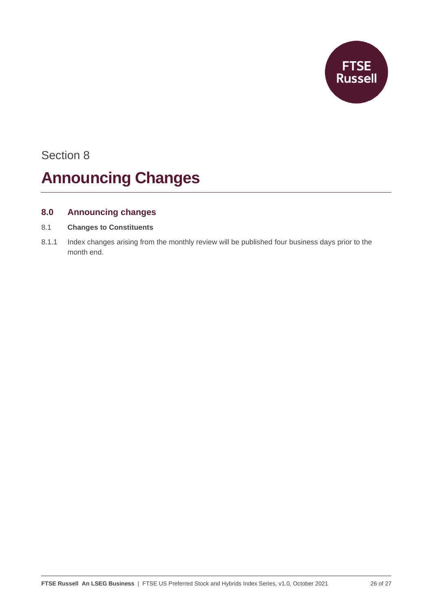

# **Announcing Changes**

## **8.0 Announcing changes**

- 8.1 **Changes to Constituents**
- 8.1.1 Index changes arising from the monthly review will be published four business days prior to the month end.